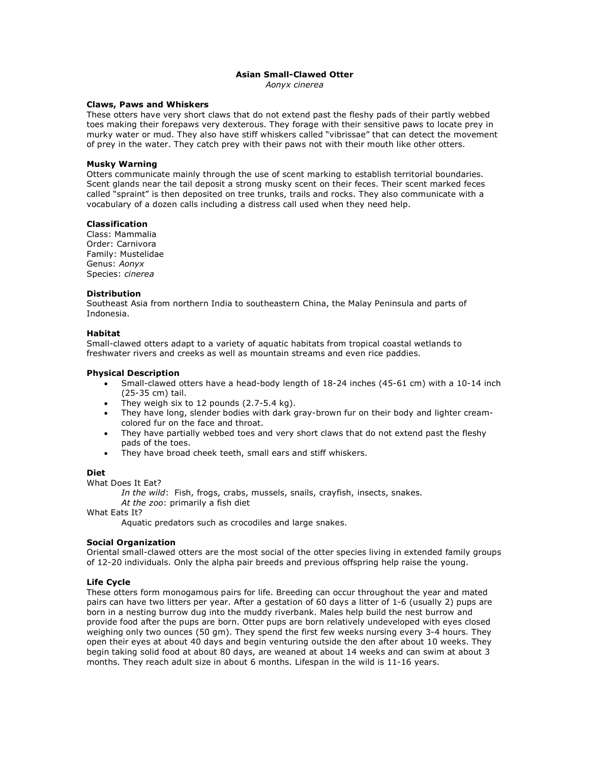# **Asian Small-Clawed Otter**

*Aonyx cinerea*

# **Claws, Paws and Whiskers**

These otters have very short claws that do not extend past the fleshy pads of their partly webbed toes making their forepaws very dexterous. They forage with their sensitive paws to locate prey in murky water or mud. They also have stiff whiskers called "vibrissae" that can detect the movement of prey in the water. They catch prey with their paws not with their mouth like other otters.

# **Musky Warning**

Otters communicate mainly through the use of scent marking to establish territorial boundaries. Scent glands near the tail deposit a strong musky scent on their feces. Their scent marked feces called "spraint" is then deposited on tree trunks, trails and rocks. They also communicate with a vocabulary of a dozen calls including a distress call used when they need help.

# **Classification**

Class: Mammalia Order: Carnivora Family: Mustelidae Genus: *Aonyx* Species: *cinerea*

# **Distribution**

Southeast Asia from northern India to southeastern China, the Malay Peninsula and parts of Indonesia.

# **Habitat**

Small-clawed otters adapt to a variety of aquatic habitats from tropical coastal wetlands to freshwater rivers and creeks as well as mountain streams and even rice paddies.

# **Physical Description**

- Small-clawed otters have a head-body length of 18-24 inches (45-61 cm) with a 10-14 inch (25-35 cm) tail.
- They weigh six to 12 pounds (2.7-5.4 kg).
- They have long, slender bodies with dark gray-brown fur on their body and lighter creamcolored fur on the face and throat.
- They have partially webbed toes and very short claws that do not extend past the fleshy pads of the toes.
- They have broad cheek teeth, small ears and stiff whiskers.

#### **Diet**

What Does It Eat?

*In the wild*: Fish, frogs, crabs, mussels, snails, crayfish, insects, snakes. *At the zoo*: primarily a fish diet

What Eats It?

Aquatic predators such as crocodiles and large snakes.

# **Social Organization**

Oriental small-clawed otters are the most social of the otter species living in extended family groups of 12-20 individuals. Only the alpha pair breeds and previous offspring help raise the young.

# **Life Cycle**

These otters form monogamous pairs for life. Breeding can occur throughout the year and mated pairs can have two litters per year. After a gestation of 60 days a litter of 1-6 (usually 2) pups are born in a nesting burrow dug into the muddy riverbank. Males help build the nest burrow and provide food after the pups are born. Otter pups are born relatively undeveloped with eyes closed weighing only two ounces (50 gm). They spend the first few weeks nursing every 3-4 hours. They open their eyes at about 40 days and begin venturing outside the den after about 10 weeks. They begin taking solid food at about 80 days, are weaned at about 14 weeks and can swim at about 3 months. They reach adult size in about 6 months. Lifespan in the wild is 11-16 years.